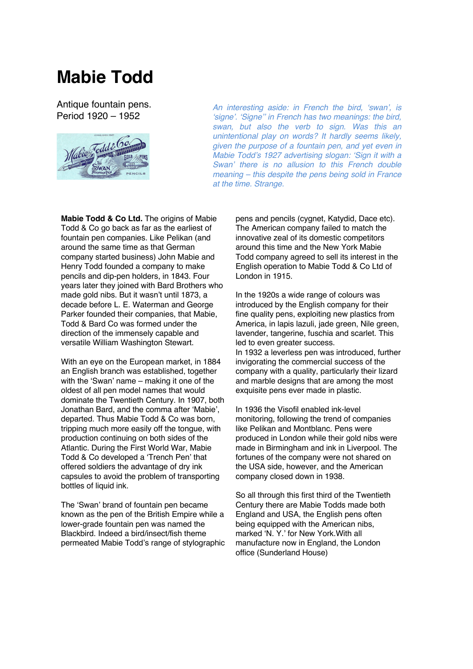## **Mabie Todd**

Antique fountain pens. Period 1920 – 1952



*An interesting aside: in French the bird, 'swan', is 'signe'. 'Signe'' in French has two meanings: the bird, swan, but also the verb to sign. Was this an unintentional play on words? It hardly seems likely, given the purpose of a fountain pen, and yet even in Mabie Todd's 1927 advertising slogan: 'Sign it with a Swan' there is no allusion to this French double meaning – this despite the pens being sold in France at the time. Strange.*

**Mabie Todd & Co Ltd.** The origins of Mabie Todd & Co go back as far as the earliest of fountain pen companies. Like Pelikan (and around the same time as that German company started business) John Mabie and Henry Todd founded a company to make pencils and dip-pen holders, in 1843. Four years later they joined with Bard Brothers who made gold nibs. But it wasn't until 1873, a decade before L. E. Waterman and George Parker founded their companies, that Mabie, Todd & Bard Co was formed under the direction of the immensely capable and versatile William Washington Stewart.

With an eye on the European market, in 1884 an English branch was established, together with the 'Swan' name – making it one of the oldest of all pen model names that would dominate the Twentieth Century. In 1907, both Jonathan Bard, and the comma after 'Mabie', departed. Thus Mabie Todd & Co was born, tripping much more easily off the tongue, with production continuing on both sides of the Atlantic. During the First World War, Mabie Todd & Co developed a 'Trench Pen' that offered soldiers the advantage of dry ink capsules to avoid the problem of transporting bottles of liquid ink.

The 'Swan' brand of fountain pen became known as the pen of the British Empire while a lower-grade fountain pen was named the Blackbird. Indeed a bird/insect/fish theme permeated Mabie Todd's range of stylographic

pens and pencils (cygnet, Katydid, Dace etc). The American company failed to match the innovative zeal of its domestic competitors around this time and the New York Mabie Todd company agreed to sell its interest in the English operation to Mabie Todd & Co Ltd of London in 1915.

In the 1920s a wide range of colours was introduced by the English company for their fine quality pens, exploiting new plastics from America, in lapis lazuli, jade green, Nile green, lavender, tangerine, fuschia and scarlet. This led to even greater success.

In 1932 a leverless pen was introduced, further invigorating the commercial success of the company with a quality, particularly their lizard and marble designs that are among the most exquisite pens ever made in plastic.

In 1936 the Visofil enabled ink-level monitoring, following the trend of companies like Pelikan and Montblanc. Pens were produced in London while their gold nibs were made in Birmingham and ink in Liverpool. The fortunes of the company were not shared on the USA side, however, and the American company closed down in 1938.

So all through this first third of the Twentieth Century there are Mabie Todds made both England and USA, the English pens often being equipped with the American nibs, marked 'N. Y.' for New York.With all manufacture now in England, the London office (Sunderland House)